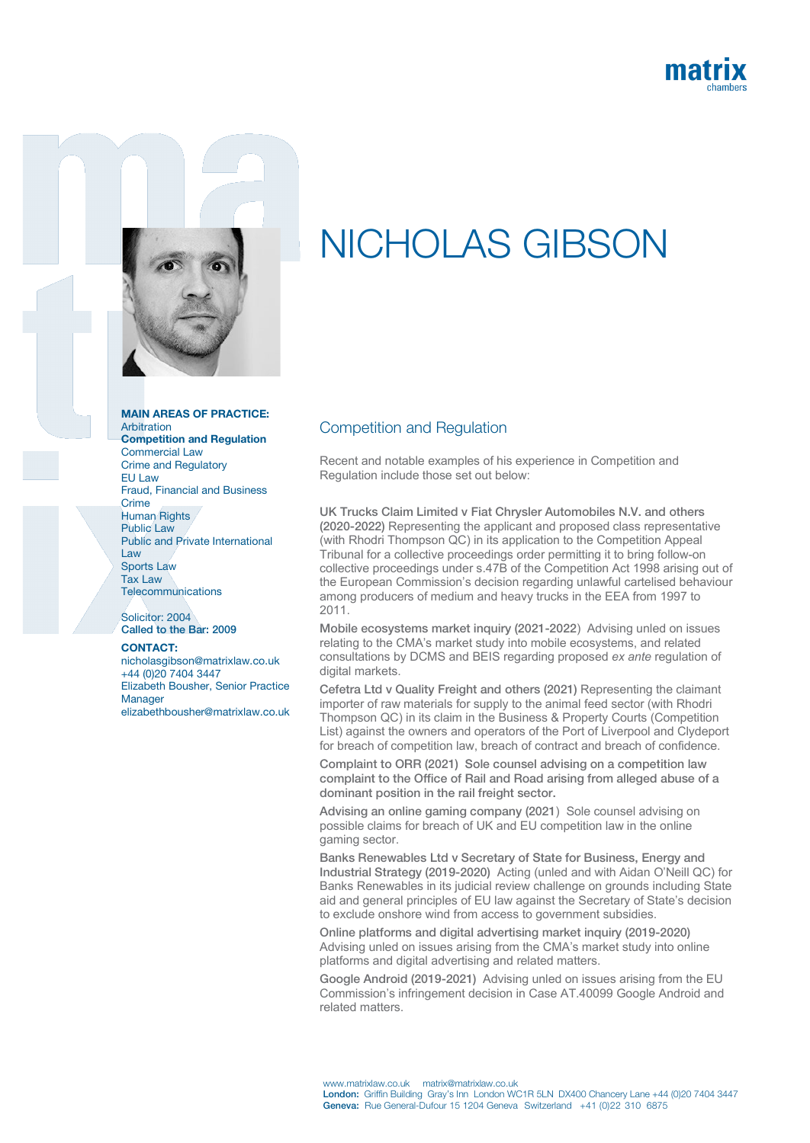



## MAIN AREAS OF PRACTICE: Arbitration

Competition and Regulation Commercial Law Crime and Regulatory **EU** Law Fraud, Financial and Business **Crime** Human Rights Public Law Public and Private International Law Sports Law Tax Law **Telecommunications** 

Solicitor: 2004 Called to the Bar: 2009

## CONTACT:

nicholasgibson@matrixlaw.co.uk +44 (0)20 7404 3447 Elizabeth Bousher, Senior Practice Manager elizabethbousher@matrixlaw.co.uk

## NICHOLAS GIBSON

## Competition and Regulation

Recent and notable examples of his experience in Competition and Regulation include those set out below:

UK Trucks Claim Limited v Fiat Chrysler Automobiles N.V. and others (2020-2022) Representing the applicant and proposed class representative (with Rhodri Thompson QC) in its application to the Competition Appeal Tribunal for a collective proceedings order permitting it to bring follow-on collective proceedings under s.47B of the Competition Act 1998 arising out of the European Commission's decision regarding unlawful cartelised behaviour among producers of medium and heavy trucks in the EEA from 1997 to 2011.

Mobile ecosystems market inquiry (2021-2022) Advising unled on issues relating to the CMA's market study into mobile ecosystems, and related consultations by DCMS and BEIS regarding proposed *ex ante* regulation of digital markets.

Cefetra Ltd v Quality Freight and others (2021) Representing the claimant importer of raw materials for supply to the animal feed sector (with Rhodri Thompson QC) in its claim in the Business & Property Courts (Competition List) against the owners and operators of the Port of Liverpool and Clydeport for breach of competition law, breach of contract and breach of confidence.

Complaint to ORR (2021) Sole counsel advising on a competition law complaint to the Office of Rail and Road arising from alleged abuse of a dominant position in the rail freight sector.

Advising an online gaming company (2021) Sole counsel advising on possible claims for breach of UK and EU competition law in the online gaming sector.

Banks Renewables Ltd v Secretary of State for Business, Energy and Industrial Strategy (2019-2020) Acting (unled and with Aidan O'Neill QC) for Banks Renewables in its judicial review challenge on grounds including State aid and general principles of EU law against the Secretary of State's decision to exclude onshore wind from access to government subsidies.

Online platforms and digital advertising market inquiry (2019-2020) Advising unled on issues arising from the CMA's market study into online platforms and digital advertising and related matters.

Google Android (2019-2021) Advising unled on issues arising from the EU Commission's infringement decision in Case AT.40099 Google Android and related matters.

www.matrixlaw.co.uk matrix@matrixlaw.co.uk London: Griffin Building Gray's Inn London WC1R 5LN DX400 Chancery Lane +44 (0)20 7404 3447 Geneva: Rue General-Dufour 15 1204 Geneva Switzerland +41 (0)22 310 6875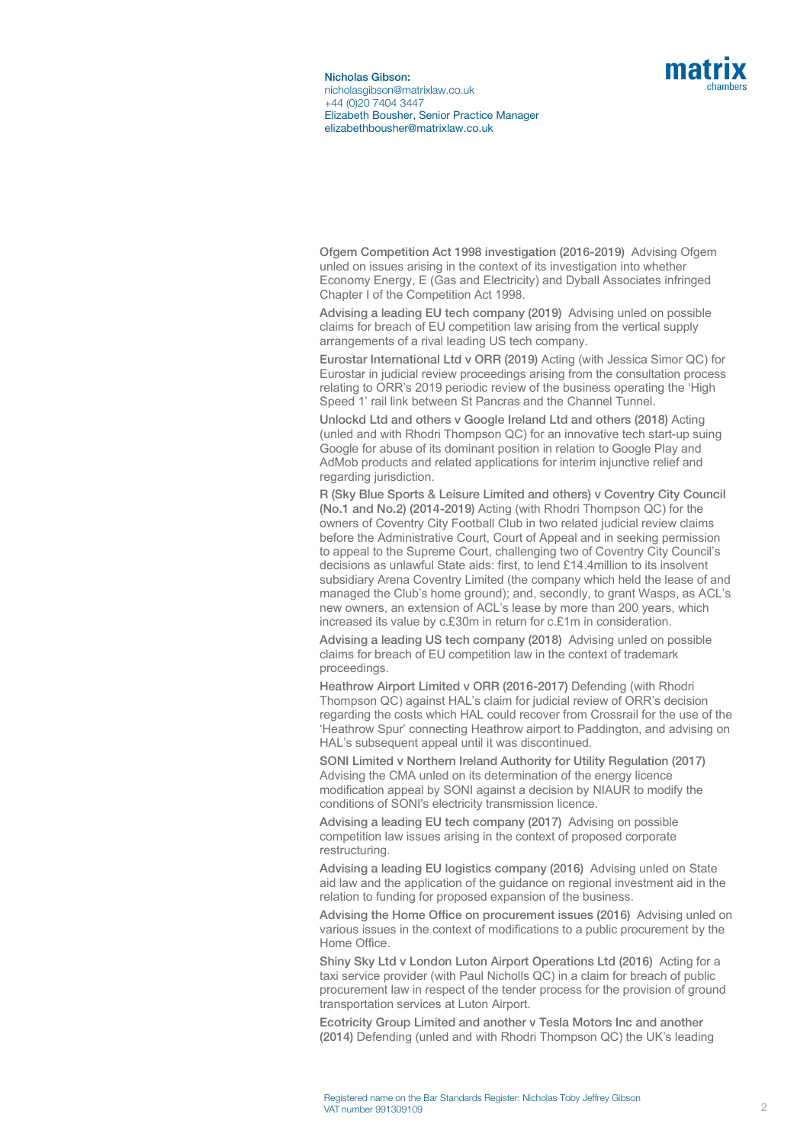

Ofgem Competition Act 1998 investigation (2016-2019) Advising Ofgem unled on issues arising in the context of its investigation into whether Economy Energy, E (Gas and Electricity) and Dyball Associates infringed Chapter I of the Competition Act 1998.

Advising a leading EU tech company (2019) Advising unled on possible claims for breach of EU competition law arising from the vertical supply arrangements of a rival leading US tech company.

Eurostar International Ltd v ORR (2019) Acting (with Jessica Simor QC) for Eurostar in judicial review proceedings arising from the consultation process relating to ORR's 2019 periodic review of the business operating the 'High Speed 1' rail link between St Pancras and the Channel Tunnel.

Unlockd Ltd and others v Google Ireland Ltd and others (2018) Acting (unled and with Rhodri Thompson QC) for an innovative tech start-up suing Google for abuse of its dominant position in relation to Google Play and AdMob products and related applications for interim injunctive relief and regarding jurisdiction.

R (Sky Blue Sports & Leisure Limited and others) v Coventry City Council (No.1 and No.2) (2014-2019) Acting (with Rhodri Thompson QC) for the owners of Coventry City Football Club in two related judicial review claims before the Administrative Court, Court of Appeal and in seeking permission to appeal to the Supreme Court, challenging two of Coventry City Council's decisions as unlawful State aids: first, to lend £14.4million to its insolvent subsidiary Arena Coventry Limited (the company which held the lease of and managed the Club's home ground); and, secondly, to grant Wasps, as ACL's new owners, an extension of ACL's lease by more than 200 years, which increased its value by c.£30m in return for c.£1m in consideration.

Advising a leading US tech company (2018) Advising unled on possible claims for breach of EU competition law in the context of trademark proceedings.

Heathrow Airport Limited v ORR (2016-2017) Defending (with Rhodri Thompson QC) against HAL's claim for judicial review of ORR's decision regarding the costs which HAL could recover from Crossrail for the use of the 'Heathrow Spur' connecting Heathrow airport to Paddington, and advising on HAL's subsequent appeal until it was discontinued.

SONI Limited v Northern Ireland Authority for Utility Regulation (2017) Advising the CMA unled on its determination of the energy licence modification appeal by SONI against a decision by NIAUR to modify the conditions of SONI's electricity transmission licence.

Advising a leading EU tech company (2017) Advising on possible competition law issues arising in the context of proposed corporate restructuring.

Advising a leading EU logistics company (2016) Advising unled on State aid law and the application of the guidance on regional investment aid in the relation to funding for proposed expansion of the business.

Advising the Home Office on procurement issues (2016) Advising unled on various issues in the context of modifications to a public procurement by the Home Office.

Shiny Sky Ltd v London Luton Airport Operations Ltd (2016) Acting for a taxi service provider (with Paul Nicholls QC) in a claim for breach of public procurement law in respect of the tender process for the provision of ground transportation services at Luton Airport.

Ecotricity Group Limited and another v Tesla Motors Inc and another (2014) Defending (unled and with Rhodri Thompson QC) the UK's leading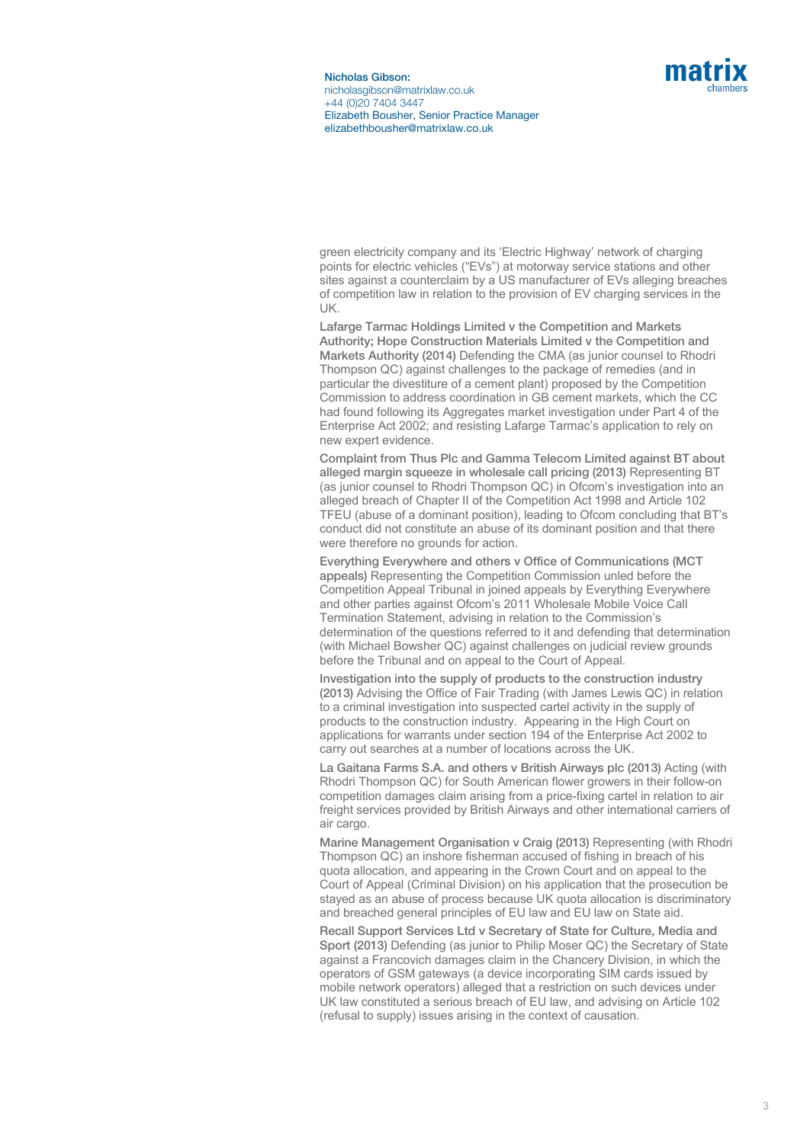

green electricity company and its 'Electric Highway' network of charging points for electric vehicles ("EVs") at motorway service stations and other sites against a counterclaim by a US manufacturer of EVs alleging breaches of competition law in relation to the provision of EV charging services in the UK.

Lafarge Tarmac Holdings Limited v the Competition and Markets Authority; Hope Construction Materials Limited v the Competition and Markets Authority (2014) Defending the CMA (as junior counsel to Rhodri Thompson QC) against challenges to the package of remedies (and in particular the divestiture of a cement plant) proposed by the Competition Commission to address coordination in GB cement markets, which the CC had found following its Aggregates market investigation under Part 4 of the Enterprise Act 2002; and resisting Lafarge Tarmac's application to rely on new expert evidence.

Complaint from Thus Plc and Gamma Telecom Limited against BT about alleged margin squeeze in wholesale call pricing (2013) Representing BT (as junior counsel to Rhodri Thompson QC) in Ofcom's investigation into an alleged breach of Chapter II of the Competition Act 1998 and Article 102 TFEU (abuse of a dominant position), leading to Ofcom concluding that BT's conduct did not constitute an abuse of its dominant position and that there were therefore no grounds for action.

Everything Everywhere and others v Office of Communications (MCT appeals) Representing the Competition Commission unled before the Competition Appeal Tribunal in joined appeals by Everything Everywhere and other parties against Ofcom's 2011 Wholesale Mobile Voice Call Termination Statement, advising in relation to the Commission's determination of the questions referred to it and defending that determination (with Michael Bowsher QC) against challenges on judicial review grounds before the Tribunal and on appeal to the Court of Appeal.

Investigation into the supply of products to the construction industry (2013) Advising the Office of Fair Trading (with James Lewis QC) in relation to a criminal investigation into suspected cartel activity in the supply of products to the construction industry. Appearing in the High Court on applications for warrants under section 194 of the Enterprise Act 2002 to carry out searches at a number of locations across the UK.

La Gaitana Farms S.A. and others v British Airways plc (2013) Acting (with Rhodri Thompson QC) for South American flower growers in their follow-on competition damages claim arising from a price-fixing cartel in relation to air freight services provided by British Airways and other international carriers of air cargo.

Marine Management Organisation v Craig (2013) Representing (with Rhodri Thompson QC) an inshore fisherman accused of fishing in breach of his quota allocation, and appearing in the Crown Court and on appeal to the Court of Appeal (Criminal Division) on his application that the prosecution be stayed as an abuse of process because UK quota allocation is discriminatory and breached general principles of EU law and EU law on State aid.

Recall Support Services Ltd v Secretary of State for Culture, Media and Sport (2013) Defending (as junior to Philip Moser QC) the Secretary of State against a Francovich damages claim in the Chancery Division, in which the operators of GSM gateways (a device incorporating SIM cards issued by mobile network operators) alleged that a restriction on such devices under UK law constituted a serious breach of EU law, and advising on Article 102 (refusal to supply) issues arising in the context of causation.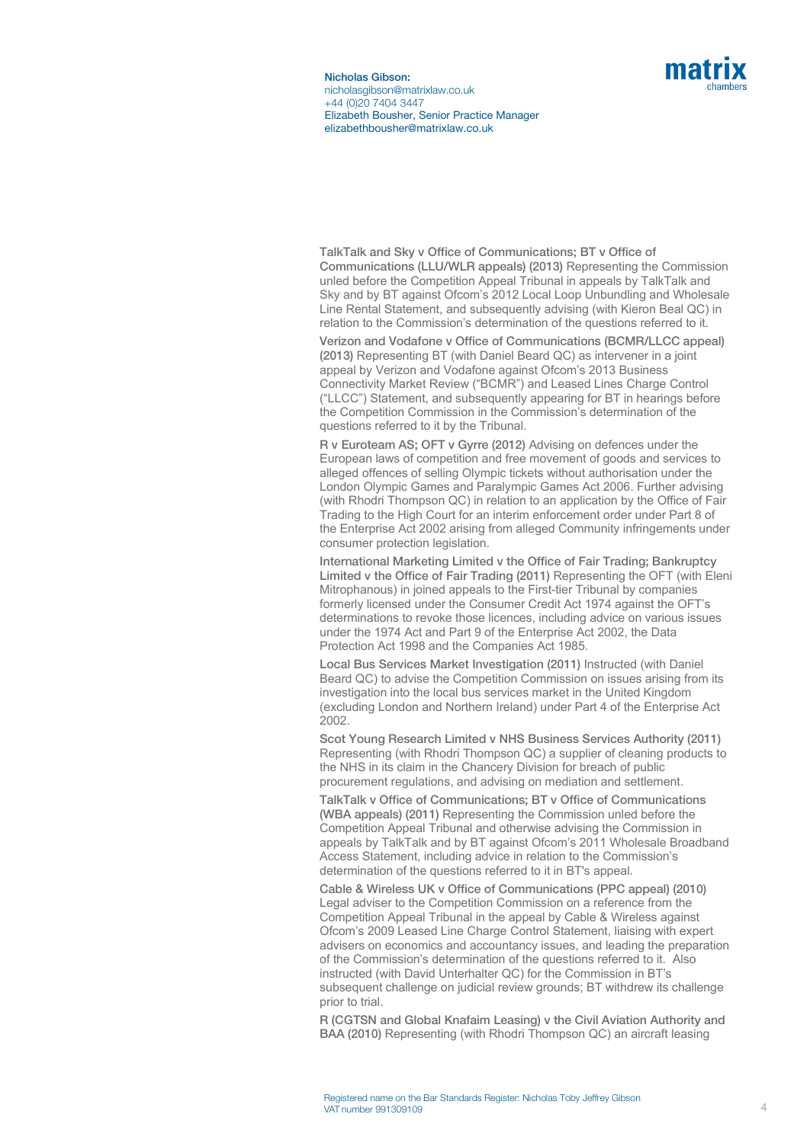

TalkTalk and Sky v Office of Communications; BT v Office of Communications (LLU/WLR appeals) (2013) Representing the Commission unled before the Competition Appeal Tribunal in appeals by TalkTalk and Sky and by BT against Ofcom's 2012 Local Loop Unbundling and Wholesale Line Rental Statement, and subsequently advising (with Kieron Beal QC) in relation to the Commission's determination of the questions referred to it.

Verizon and Vodafone v Office of Communications (BCMR/LLCC appeal) (2013) Representing BT (with Daniel Beard QC) as intervener in a joint appeal by Verizon and Vodafone against Ofcom's 2013 Business Connectivity Market Review ("BCMR") and Leased Lines Charge Control ("LLCC") Statement, and subsequently appearing for BT in hearings before the Competition Commission in the Commission's determination of the questions referred to it by the Tribunal.

R v Euroteam AS; OFT v Gyrre (2012) Advising on defences under the European laws of competition and free movement of goods and services to alleged offences of selling Olympic tickets without authorisation under the London Olympic Games and Paralympic Games Act 2006. Further advising (with Rhodri Thompson QC) in relation to an application by the Office of Fair Trading to the High Court for an interim enforcement order under Part 8 of the Enterprise Act 2002 arising from alleged Community infringements under consumer protection legislation.

International Marketing Limited v the Office of Fair Trading; Bankruptcy Limited v the Office of Fair Trading (2011) Representing the OFT (with Eleni Mitrophanous) in joined appeals to the First-tier Tribunal by companies formerly licensed under the Consumer Credit Act 1974 against the OFT's determinations to revoke those licences, including advice on various issues under the 1974 Act and Part 9 of the Enterprise Act 2002, the Data Protection Act 1998 and the Companies Act 1985.

Local Bus Services Market Investigation (2011) Instructed (with Daniel Beard QC) to advise the Competition Commission on issues arising from its investigation into the local bus services market in the United Kingdom (excluding London and Northern Ireland) under Part 4 of the Enterprise Act 2002.

Scot Young Research Limited v NHS Business Services Authority (2011) Representing (with Rhodri Thompson QC) a supplier of cleaning products to the NHS in its claim in the Chancery Division for breach of public procurement regulations, and advising on mediation and settlement.

TalkTalk v Office of Communications; BT v Office of Communications (WBA appeals) (2011) Representing the Commission unled before the Competition Appeal Tribunal and otherwise advising the Commission in appeals by TalkTalk and by BT against Ofcom's 2011 Wholesale Broadband Access Statement, including advice in relation to the Commission's determination of the questions referred to it in BT's appeal.

Cable & Wireless UK v Office of Communications (PPC appeal) (2010) Legal adviser to the Competition Commission on a reference from the Competition Appeal Tribunal in the appeal by Cable & Wireless against Ofcom's 2009 Leased Line Charge Control Statement, liaising with expert advisers on economics and accountancy issues, and leading the preparation of the Commission's determination of the questions referred to it. Also instructed (with David Unterhalter QC) for the Commission in BT's subsequent challenge on judicial review grounds; BT withdrew its challenge prior to trial.

R (CGTSN and Global Knafaim Leasing) v the Civil Aviation Authority and BAA (2010) Representing (with Rhodri Thompson QC) an aircraft leasing